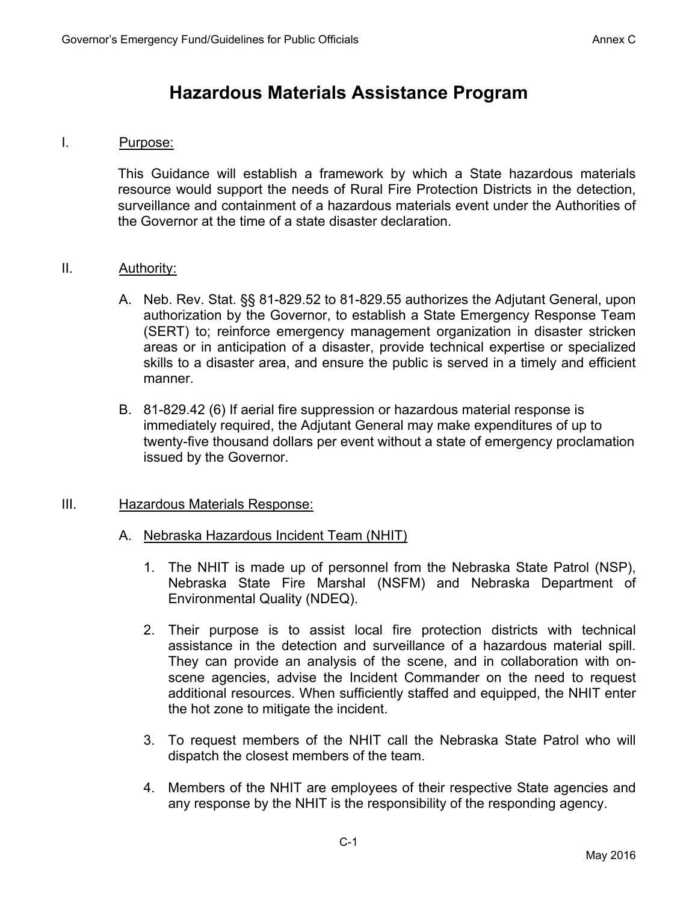# **Hazardous Materials Assistance Program**

#### I. Purpose:

 This Guidance will establish a framework by which a State hazardous materials resource would support the needs of Rural Fire Protection Districts in the detection, surveillance and containment of a hazardous materials event under the Authorities of the Governor at the time of a state disaster declaration.

## II. Authority:

- A. Neb. Rev. Stat. §§ 81-829.52 to 81-829.55 authorizes the Adjutant General, upon authorization by the Governor, to establish a State Emergency Response Team (SERT) to; reinforce emergency management organization in disaster stricken areas or in anticipation of a disaster, provide technical expertise or specialized skills to a disaster area, and ensure the public is served in a timely and efficient manner.
- B. 81-829.42 (6) If aerial fire suppression or hazardous material response is immediately required, the Adjutant General may make expenditures of up to twenty-five thousand dollars per event without a state of emergency proclamation issued by the Governor.

## III. Hazardous Materials Response:

## A. Nebraska Hazardous Incident Team (NHIT)

- 1. The NHIT is made up of personnel from the Nebraska State Patrol (NSP), Nebraska State Fire Marshal (NSFM) and Nebraska Department of Environmental Quality (NDEQ).
- 2. Their purpose is to assist local fire protection districts with technical assistance in the detection and surveillance of a hazardous material spill. They can provide an analysis of the scene, and in collaboration with onscene agencies, advise the Incident Commander on the need to request additional resources. When sufficiently staffed and equipped, the NHIT enter the hot zone to mitigate the incident.
- 3. To request members of the NHIT call the Nebraska State Patrol who will dispatch the closest members of the team.
- 4. Members of the NHIT are employees of their respective State agencies and any response by the NHIT is the responsibility of the responding agency.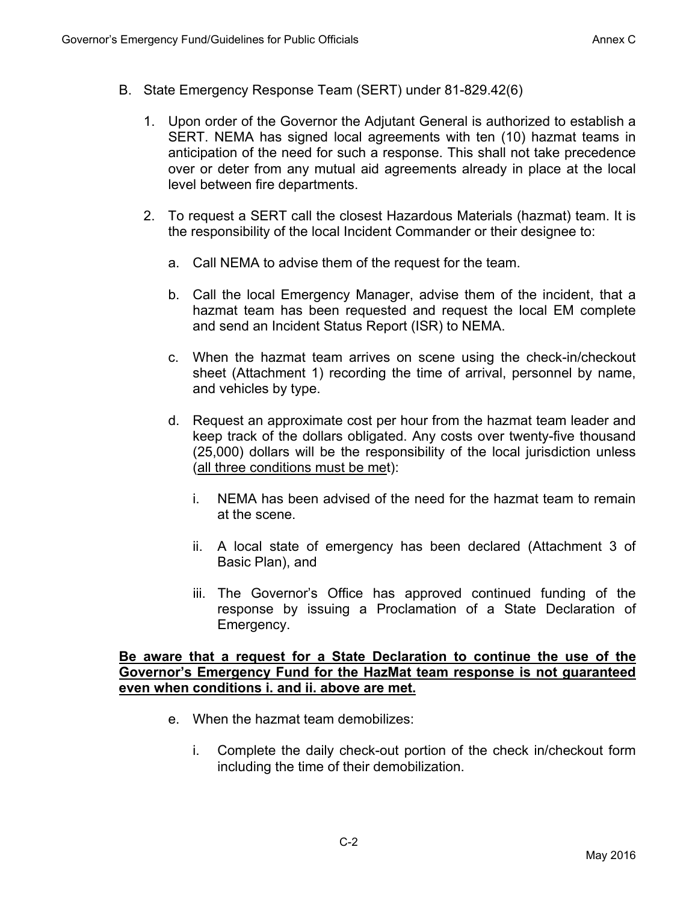- B. State Emergency Response Team (SERT) under 81-829.42(6)
	- 1. Upon order of the Governor the Adjutant General is authorized to establish a SERT. NEMA has signed local agreements with ten (10) hazmat teams in anticipation of the need for such a response. This shall not take precedence over or deter from any mutual aid agreements already in place at the local level between fire departments.
	- 2. To request a SERT call the closest Hazardous Materials (hazmat) team. It is the responsibility of the local Incident Commander or their designee to:
		- a. Call NEMA to advise them of the request for the team.
		- b. Call the local Emergency Manager, advise them of the incident, that a hazmat team has been requested and request the local EM complete and send an Incident Status Report (ISR) to NEMA.
		- c. When the hazmat team arrives on scene using the check-in/checkout sheet (Attachment 1) recording the time of arrival, personnel by name, and vehicles by type.
		- d. Request an approximate cost per hour from the hazmat team leader and keep track of the dollars obligated. Any costs over twenty-five thousand (25,000) dollars will be the responsibility of the local jurisdiction unless (all three conditions must be met):
			- i. NEMA has been advised of the need for the hazmat team to remain at the scene.
			- ii. A local state of emergency has been declared (Attachment 3 of Basic Plan), and
			- iii. The Governor's Office has approved continued funding of the response by issuing a Proclamation of a State Declaration of Emergency.

#### **Be aware that a request for a State Declaration to continue the use of the Governor's Emergency Fund for the HazMat team response is not guaranteed even when conditions i. and ii. above are met.**

- e. When the hazmat team demobilizes:
	- i. Complete the daily check-out portion of the check in/checkout form including the time of their demobilization.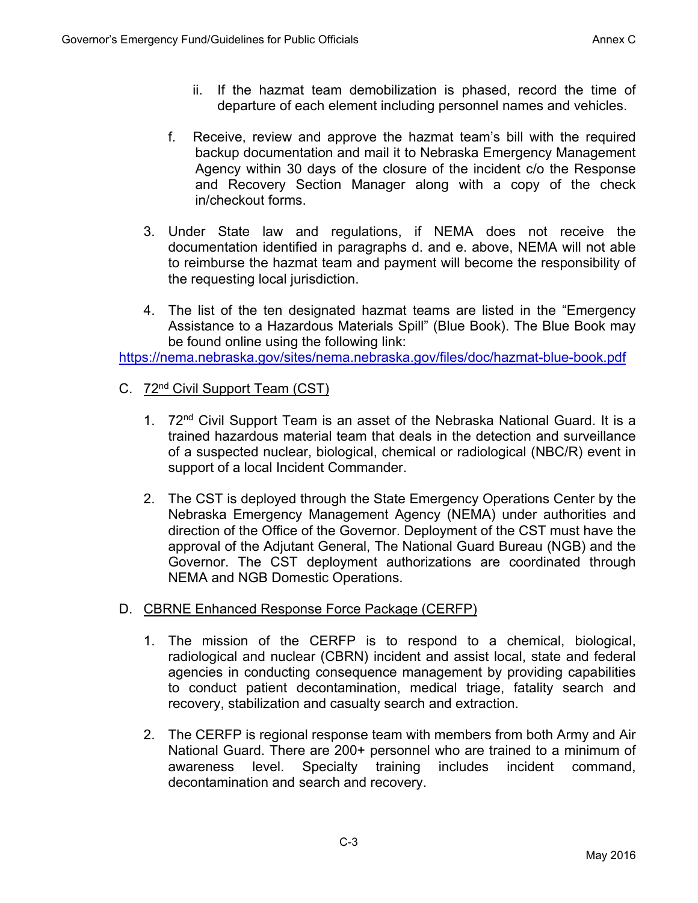- ii. If the hazmat team demobilization is phased, record the time of departure of each element including personnel names and vehicles.
- f. Receive, review and approve the hazmat team's bill with the required backup documentation and mail it to Nebraska Emergency Management Agency within 30 days of the closure of the incident c/o the Response and Recovery Section Manager along with a copy of the check in/checkout forms.
- 3. Under State law and regulations, if NEMA does not receive the documentation identified in paragraphs d. and e. above, NEMA will not able to reimburse the hazmat team and payment will become the responsibility of the requesting local jurisdiction.
- 4. The list of the ten designated hazmat teams are listed in the "Emergency Assistance to a Hazardous Materials Spill" (Blue Book). The Blue Book may be found online using the following link:

https://nema.nebraska.gov/sites/nema.nebraska.gov/files/doc/hazmat-blue-book.pdf

- C. 72nd Civil Support Team (CST)
	- 1. 72<sup>nd</sup> Civil Support Team is an asset of the Nebraska National Guard. It is a trained hazardous material team that deals in the detection and surveillance of a suspected nuclear, biological, chemical or radiological (NBC/R) event in support of a local Incident Commander.
	- 2. The CST is deployed through the State Emergency Operations Center by the Nebraska Emergency Management Agency (NEMA) under authorities and direction of the Office of the Governor. Deployment of the CST must have the approval of the Adjutant General, The National Guard Bureau (NGB) and the Governor. The CST deployment authorizations are coordinated through NEMA and NGB Domestic Operations.
- D. CBRNE Enhanced Response Force Package (CERFP)
	- 1. The mission of the CERFP is to respond to a chemical, biological, radiological and nuclear (CBRN) incident and assist local, state and federal agencies in conducting consequence management by providing capabilities to conduct patient decontamination, medical triage, fatality search and recovery, stabilization and casualty search and extraction.
	- 2. The CERFP is regional response team with members from both Army and Air National Guard. There are 200+ personnel who are trained to a minimum of awareness level. Specialty training includes incident command, decontamination and search and recovery.